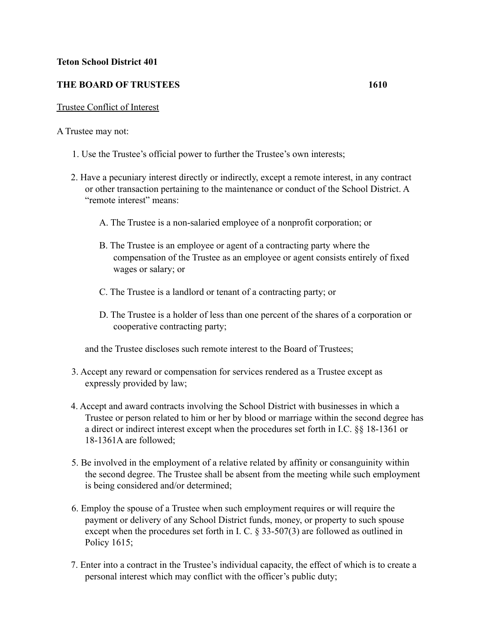## **Teton School District 401**

## **THE BOARD OF TRUSTEES 1610**

## Trustee Conflict of Interest

A Trustee may not:

- 1. Use the Trustee's official power to further the Trustee's own interests;
- 2. Have a pecuniary interest directly or indirectly, except a remote interest, in any contract or other transaction pertaining to the maintenance or conduct of the School District. A "remote interest" means:
	- A. The Trustee is a non-salaried employee of a nonprofit corporation; or
	- B. The Trustee is an employee or agent of a contracting party where the compensation of the Trustee as an employee or agent consists entirely of fixed wages or salary; or
	- C. The Trustee is a landlord or tenant of a contracting party; or
	- D. The Trustee is a holder of less than one percent of the shares of a corporation or cooperative contracting party;

and the Trustee discloses such remote interest to the Board of Trustees;

- 3. Accept any reward or compensation for services rendered as a Trustee except as expressly provided by law;
- 4. Accept and award contracts involving the School District with businesses in which a Trustee or person related to him or her by blood or marriage within the second degree has a direct or indirect interest except when the procedures set forth in I.C. §§ 18-1361 or 18-1361A are followed;
- 5. Be involved in the employment of a relative related by affinity or consanguinity within the second degree. The Trustee shall be absent from the meeting while such employment is being considered and/or determined;
- 6. Employ the spouse of a Trustee when such employment requires or will require the payment or delivery of any School District funds, money, or property to such spouse except when the procedures set forth in I. C. § 33-507(3) are followed as outlined in Policy 1615;
- 7. Enter into a contract in the Trustee's individual capacity, the effect of which is to create a personal interest which may conflict with the officer's public duty;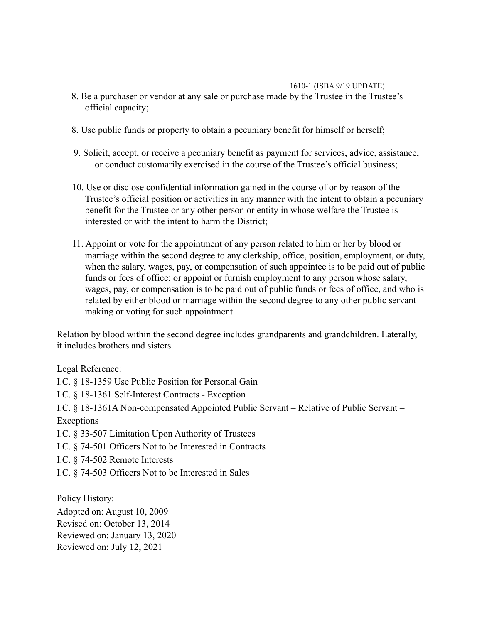## 1610-1 (ISBA 9/19 UPDATE)

- 8. Be a purchaser or vendor at any sale or purchase made by the Trustee in the Trustee's official capacity;
- 8. Use public funds or property to obtain a pecuniary benefit for himself or herself;
- 9. Solicit, accept, or receive a pecuniary benefit as payment for services, advice, assistance, or conduct customarily exercised in the course of the Trustee's official business;
- 10. Use or disclose confidential information gained in the course of or by reason of the Trustee's official position or activities in any manner with the intent to obtain a pecuniary benefit for the Trustee or any other person or entity in whose welfare the Trustee is interested or with the intent to harm the District;
- 11. Appoint or vote for the appointment of any person related to him or her by blood or marriage within the second degree to any clerkship, office, position, employment, or duty, when the salary, wages, pay, or compensation of such appointee is to be paid out of public funds or fees of office; or appoint or furnish employment to any person whose salary, wages, pay, or compensation is to be paid out of public funds or fees of office, and who is related by either blood or marriage within the second degree to any other public servant making or voting for such appointment.

Relation by blood within the second degree includes grandparents and grandchildren. Laterally, it includes brothers and sisters.

Legal Reference:

I.C. § 18-1359 Use Public Position for Personal Gain

I.C. § 18-1361 Self-Interest Contracts - Exception

I.C. § 18-1361A Non-compensated Appointed Public Servant – Relative of Public Servant – Exceptions

I.C. § 33-507 Limitation Upon Authority of Trustees

I.C. § 74-501 Officers Not to be Interested in Contracts

I.C. § 74-502 Remote Interests

I.C. § 74-503 Officers Not to be Interested in Sales

Policy History:

Adopted on: August 10, 2009 Revised on: October 13, 2014 Reviewed on: January 13, 2020 Reviewed on: July 12, 2021